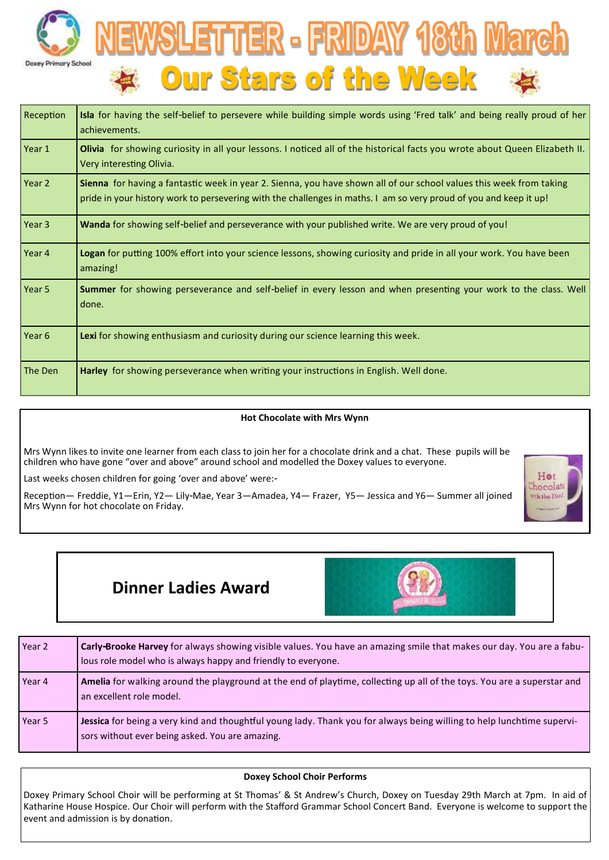



| Reception         | Isla for having the self-belief to persevere while building simple words using 'Fred talk' and being really proud of her<br>achievements.                                                                                                |  |  |
|-------------------|------------------------------------------------------------------------------------------------------------------------------------------------------------------------------------------------------------------------------------------|--|--|
| Year 1            | Olivia for showing curiosity in all your lessons. I noticed all of the historical facts you wrote about Queen Elizabeth II.<br>Very interesting Olivia.                                                                                  |  |  |
| Year 2            | Sienna for having a fantastic week in year 2. Sienna, you have shown all of our school values this week from taking<br>pride in your history work to persevering with the challenges in maths. I am so very proud of you and keep it up! |  |  |
| Year 3            | Wanda for showing self-belief and perseverance with your published write. We are very proud of you!                                                                                                                                      |  |  |
| Year 4            | Logan for putting 100% effort into your science lessons, showing curiosity and pride in all your work. You have been<br>amazing!                                                                                                         |  |  |
| Year <sub>5</sub> | Summer for showing perseverance and self-belief in every lesson and when presenting your work to the class. Well<br>done.                                                                                                                |  |  |
| Year 6            | Lexi for showing enthusiasm and curiosity during our science learning this week.                                                                                                                                                         |  |  |
| The Den           | Harley for showing perseverance when writing your instructions in English. Well done.                                                                                                                                                    |  |  |

#### **Hot Chocolate with Mrs Wynn**

Mrs Wynn likes to invite one learner from each class to join her for a chocolate drink and a chat. These pupils will be children who have gone "over and above" around school and modelled the Doxey values to everyone.

Last weeks chosen children for going 'over and above' were:-

Reception— Freddie, Y1—Erin, Y2— Lily-Mae, Year 3—Amadea, Y4— Frazer, Y5— Jessica and Y6— Summer all joined Mrs Wynn for hot chocolate on Friday.



# **Dinner Ladies Award**



| Year 2 | <b>Carly-Brooke Harvey</b> for always showing visible values. You have an amazing smile that makes our day. You are a fabu-<br>lous role model who is always happy and friendly to everyone. |
|--------|----------------------------------------------------------------------------------------------------------------------------------------------------------------------------------------------|
| Year 4 | Amelia for walking around the playground at the end of playtime, collecting up all of the toys. You are a superstar and<br>an excellent role model.                                          |
| Year 5 | Jessica for being a very kind and thoughtful young lady. Thank you for always being willing to help lunchtime supervi-<br>sors without ever being asked. You are amazing.                    |

### **Doxey School Choir Performs**

Doxey Primary School Choir will be performing at St Thomas' & St Andrew's Church, Doxey on Tuesday 29th March at 7pm. In aid of Katharine House Hospice. Our Choir will perform with the Stafford Grammar School Concert Band. Everyone is welcome to support the event and admission is by donation.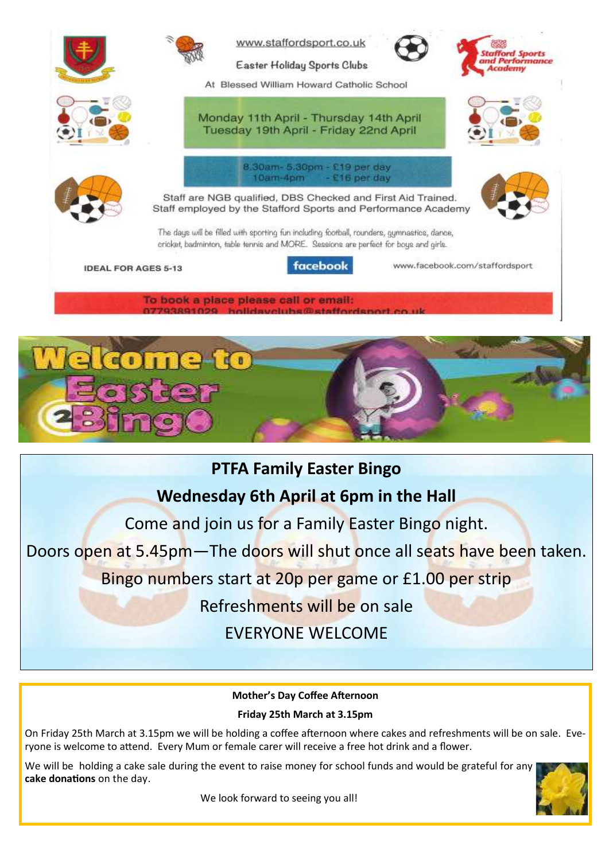

To book a place please call or email: **History costs show** 

# **PTFA Family Easter Bingo**

**Wednesday 6th April at 6pm in the Hall**

Come and join us for a Family Easter Bingo night.

Doors open at 5.45pm—The doors will shut once all seats have been taken.

Bingo numbers start at 20p per game or £1.00 per strip

Refreshments will be on sale

EVERYONE WELCOME

**Mother's Day Coffee Afternoon**

**Friday 25th March at 3.15pm**

On Friday 25th March at 3.15pm we will be holding a coffee afternoon where cakes and refreshments will be on sale. Everyone is welcome to attend. Every Mum or female carer will receive a free hot drink and a flower.

We will be holding a cake sale during the event to raise money for school funds and would be grateful for any **cake donations** on the day.

We look forward to seeing you all!